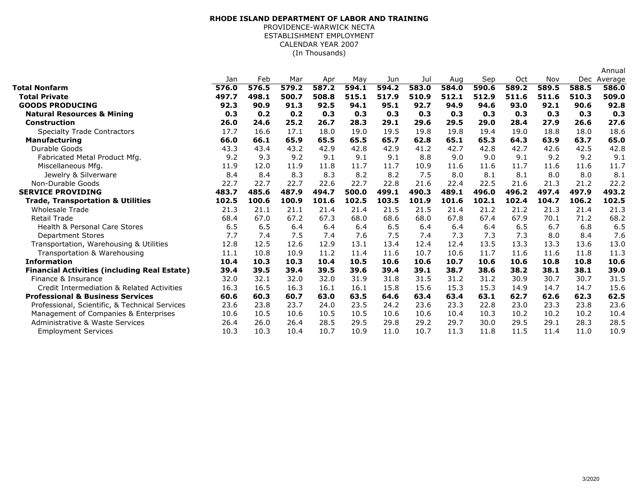## (In Thousands)**RHODE ISLAND DEPARTMENT OF LABOR AND TRAINING**PROVIDENCE-WARWICK NECTA ESTABLISHMENT EMPLOYMENTCALENDAR YEAR 2007

|                                                     |       |       |       |       |       |       |       |       |       |       |       |       | Annual      |
|-----------------------------------------------------|-------|-------|-------|-------|-------|-------|-------|-------|-------|-------|-------|-------|-------------|
|                                                     | Jan   | Feb   | Mar   | Apr   | May   | Jun   | Jul   | Aug   | Sep   | Oct   | Nov   |       | Dec Average |
| Total Nonfarm                                       | 576.0 | 576.5 | 579.2 | 587.2 | 594.1 | 594.2 | 583.0 | 584.0 | 590.6 | 589.2 | 589.5 | 588.5 | 586.0       |
| <b>Total Private</b>                                | 497.7 | 498.1 | 500.7 | 508.8 | 515.1 | 517.9 | 510.9 | 512.1 | 512.9 | 511.6 | 511.6 | 510.3 | 509.0       |
| <b>GOODS PRODUCING</b>                              | 92.3  | 90.9  | 91.3  | 92.5  | 94.1  | 95.1  | 92.7  | 94.9  | 94.6  | 93.0  | 92.1  | 90.6  | 92.8        |
| <b>Natural Resources &amp; Mining</b>               | 0.3   | 0.2   | 0.2   | 0.3   | 0.3   | 0.3   | 0.3   | 0.3   | 0.3   | 0.3   | 0.3   | 0.3   | 0.3         |
| Construction                                        | 26.0  | 24.6  | 25.2  | 26.7  | 28.3  | 29.1  | 29.6  | 29.5  | 29.0  | 28.4  | 27.9  | 26.6  | 27.6        |
| <b>Specialty Trade Contractors</b>                  | 17.7  | 16.6  | 17.1  | 18.0  | 19.0  | 19.5  | 19.8  | 19.8  | 19.4  | 19.0  | 18.8  | 18.0  | 18.6        |
| <b>Manufacturing</b>                                | 66.0  | 66.1  | 65.9  | 65.5  | 65.5  | 65.7  | 62.8  | 65.1  | 65.3  | 64.3  | 63.9  | 63.7  | 65.0        |
| Durable Goods                                       | 43.3  | 43.4  | 43.2  | 42.9  | 42.8  | 42.9  | 41.2  | 42.7  | 42.8  | 42.7  | 42.6  | 42.5  | 42.8        |
| Fabricated Metal Product Mfg.                       | 9.2   | 9.3   | 9.2   | 9.1   | 9.1   | 9.1   | 8.8   | 9.0   | 9.0   | 9.1   | 9.2   | 9.2   | 9.1         |
| Miscellaneous Mfg.                                  | 11.9  | 12.0  | 11.9  | 11.8  | 11.7  | 11.7  | 10.9  | 11.6  | 11.6  | 11.7  | 11.6  | 11.6  | 11.7        |
| Jewelry & Silverware                                | 8.4   | 8.4   | 8.3   | 8.3   | 8.2   | 8.2   | 7.5   | 8.0   | 8.1   | 8.1   | 8.0   | 8.0   | 8.1         |
| Non-Durable Goods                                   | 22.7  | 22.7  | 22.7  | 22.6  | 22.7  | 22.8  | 21.6  | 22.4  | 22.5  | 21.6  | 21.3  | 21.2  | 22.2        |
| <b>SERVICE PROVIDING</b>                            | 483.7 | 485.6 | 487.9 | 494.7 | 500.0 | 499.1 | 490.3 | 489.1 | 496.0 | 496.2 | 497.4 | 497.9 | 493.2       |
| <b>Trade, Transportation &amp; Utilities</b>        | 102.5 | 100.6 | 100.9 | 101.6 | 102.5 | 103.5 | 101.9 | 101.6 | 102.1 | 102.4 | 104.7 | 106.2 | 102.5       |
| <b>Wholesale Trade</b>                              | 21.3  | 21.1  | 21.1  | 21.4  | 21.4  | 21.5  | 21.5  | 21.4  | 21.2  | 21.2  | 21.3  | 21.4  | 21.3        |
| <b>Retail Trade</b>                                 | 68.4  | 67.0  | 67.2  | 67.3  | 68.0  | 68.6  | 68.0  | 67.8  | 67.4  | 67.9  | 70.1  | 71.2  | 68.2        |
| <b>Health &amp; Personal Care Stores</b>            | 6.5   | 6.5   | 6.4   | 6.4   | 6.4   | 6.5   | 6.4   | 6.4   | 6.4   | 6.5   | 6.7   | 6.8   | 6.5         |
| <b>Department Stores</b>                            | 7.7   | 7.4   | 7.5   | 7.4   | 7.6   | 7.5   | 7.4   | 7.3   | 7.3   | 7.3   | 8.0   | 8.4   | 7.6         |
| Transportation, Warehousing & Utilities             | 12.8  | 12.5  | 12.6  | 12.9  | 13.1  | 13.4  | 12.4  | 12.4  | 13.5  | 13.3  | 13.3  | 13.6  | 13.0        |
| Transportation & Warehousing                        | 11.1  | 10.8  | 10.9  | 11.2  | 11.4  | 11.6  | 10.7  | 10.6  | 11.7  | 11.6  | 11.6  | 11.8  | 11.3        |
| <b>Information</b>                                  | 10.4  | 10.3  | 10.3  | 10.4  | 10.5  | 10.6  | 10.6  | 10.7  | 10.6  | 10.6  | 10.8  | 10.8  | 10.6        |
| <b>Financial Activities (including Real Estate)</b> | 39.4  | 39.5  | 39.4  | 39.5  | 39.6  | 39.4  | 39.1  | 38.7  | 38.6  | 38.2  | 38.1  | 38.1  | 39.0        |
| Finance & Insurance                                 | 32.0  | 32.1  | 32.0  | 32.0  | 31.9  | 31.8  | 31.5  | 31.2  | 31.2  | 30.9  | 30.7  | 30.7  | 31.5        |
| Credit Intermediation & Related Activities          | 16.3  | 16.5  | 16.3  | 16.1  | 16.1  | 15.8  | 15.6  | 15.3  | 15.3  | 14.9  | 14.7  | 14.7  | 15.6        |
| <b>Professional &amp; Business Services</b>         | 60.6  | 60.3  | 60.7  | 63.0  | 63.5  | 64.6  | 63.4  | 63.4  | 63.1  | 62.7  | 62.6  | 62.3  | 62.5        |
| Professional, Scientific, & Technical Services      | 23.6  | 23.8  | 23.7  | 24.0  | 23.5  | 24.2  | 23.6  | 23.3  | 22.8  | 23.0  | 23.3  | 23.8  | 23.6        |
| Management of Companies & Enterprises               | 10.6  | 10.5  | 10.6  | 10.5  | 10.5  | 10.6  | 10.6  | 10.4  | 10.3  | 10.2  | 10.2  | 10.2  | 10.4        |
| Administrative & Waste Services                     | 26.4  | 26.0  | 26.4  | 28.5  | 29.5  | 29.8  | 29.2  | 29.7  | 30.0  | 29.5  | 29.1  | 28.3  | 28.5        |
| <b>Employment Services</b>                          | 10.3  | 10.3  | 10.4  | 10.7  | 10.9  | 11.0  | 10.7  | 11.3  | 11.8  | 11.5  | 11.4  | 11.0  | 10.9        |
|                                                     |       |       |       |       |       |       |       |       |       |       |       |       |             |